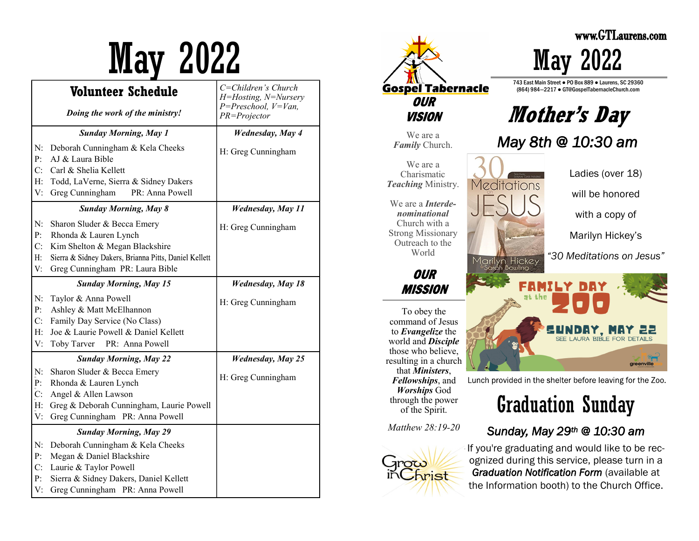|                  | Volunteer Schedule                                                          | C=Children's Church<br>H=Hosting, N=Nursery |
|------------------|-----------------------------------------------------------------------------|---------------------------------------------|
|                  | Doing the work of the ministry!                                             | $P = Preschool, V=Van,$<br>PR=Projector     |
|                  | <b>Sunday Morning, May 1</b>                                                | <b>Wednesday</b> , May 4                    |
| N:<br>P:         | Deborah Cunningham & Kela Cheeks<br>AJ & Laura Bible                        | H: Greg Cunningham                          |
| C:               | Carl & Shelia Kellett                                                       |                                             |
| H:               | Todd, LaVerne, Sierra & Sidney Dakers                                       |                                             |
| V:               | Greg Cunningham<br>PR: Anna Powell                                          |                                             |
|                  | <b>Sunday Morning, May 8</b>                                                | <b>Wednesday, May 11</b>                    |
| N:<br>P:         | Sharon Sluder & Becca Emery<br>Rhonda & Lauren Lynch                        | H: Greg Cunningham                          |
| C:               | Kim Shelton & Megan Blackshire                                              |                                             |
| Η:               | Sierra & Sidney Dakers, Brianna Pitts, Daniel Kellett                       |                                             |
| V:               | Greg Cunningham PR: Laura Bible                                             |                                             |
|                  | <b>Sunday Morning, May 15</b>                                               | <b>Wednesday</b> , May 18                   |
| N:               | Taylor & Anna Powell                                                        | H: Greg Cunningham                          |
| P:               | Ashley & Matt McElhannon                                                    |                                             |
| C:               | Family Day Service (No Class)                                               |                                             |
| H:               | Joe & Laurie Powell & Daniel Kellett                                        |                                             |
| V:               | PR: Anna Powell<br>Toby Tarver                                              |                                             |
|                  | <b>Sunday Morning, May 22</b>                                               | <b>Wednesday</b> , May 25                   |
| N:               | Sharon Sluder & Becca Emery                                                 | H: Greg Cunningham                          |
| P:               | Rhonda & Lauren Lynch                                                       |                                             |
| $\overline{C}$ : | Angel & Allen Lawson                                                        |                                             |
| Н:<br>V:         | Greg & Deborah Cunningham, Laurie Powell<br>Greg Cunningham PR: Anna Powell |                                             |
|                  |                                                                             |                                             |
|                  | <b>Sunday Morning, May 29</b>                                               |                                             |
| N:               | Deborah Cunningham & Kela Cheeks                                            |                                             |
| P:               | Megan & Daniel Blackshire                                                   |                                             |
| C:<br>P:         | Laurie & Taylor Powell                                                      |                                             |
| V:               | Sierra & Sidney Dakers, Daniel Kellett<br>Greg Cunningham PR: Anna Powell   |                                             |
|                  |                                                                             |                                             |



743 East Main Street ● PO Box 889 ● Laurens, SC 29360 (864) 984—2217 ● GT@GospelTabernacleChurch.com

**Mother's Day**

*May 8th @ 10:30 am* 

Ladies (over 18) will be honored

with a copy of

Marilyn Hickey's

*"30 Meditations on Jesus"*

UNDAY. MAY 22 SEE LAURA BIBLE FOR DETAILS greenville

Lunch provided in the shelter before leaving for the Zoo.

# Graduation Sunday



If you're graduating and would like to be recognized during this service, please turn in a *Graduation Notification Form* (available at the Information booth) to the Church Office.